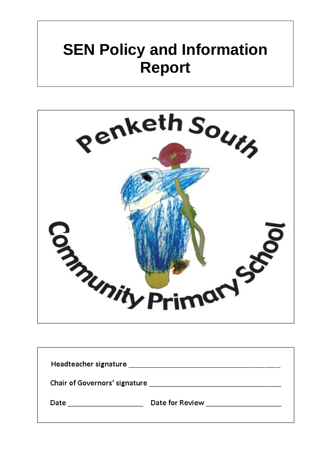# **SEN Policy and Information Report**



| Headteacher signature         |                 |  |
|-------------------------------|-----------------|--|
| Chair of Governors' signature |                 |  |
| Date                          | Date for Review |  |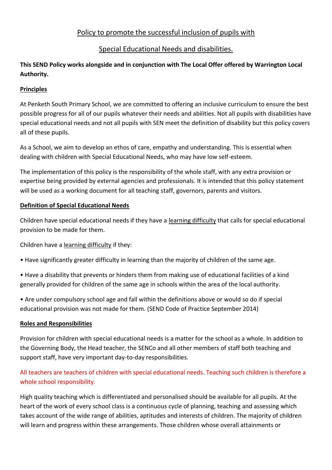# Policy to promote the successful inclusion of pupils with

# Special Educational Needs and disabilities.

# **This SEND Policy works alongside and in conjunction with The Local Offer offered by Warrington Local Authority.**

## **Principles**

At Penketh South Primary School, we are committed to offering an inclusive curriculum to ensure the best possible progress for all of our pupils whatever their needs and abilities. Not all pupils with disabilities have special educational needs and not all pupils with SEN meet the definition of disability but this policy covers all of these pupils.

As a School, we aim to develop an ethos of care, empathy and understanding. This is essential when dealing with children with Special Educational Needs, who may have low self-esteem.

The implementation of this policy is the responsibility of the whole staff, with any extra provision or expertise being provided by external agencies and professionals. It is intended that this policy statement will be used as a working document for all teaching staff, governors, parents and visitors.

## **Definition of Special Educational Needs**

Children have special educational needs if they have a learning difficulty that calls for special educational provision to be made for them.

Children have a learning difficulty if they:

- Have significantly greater difficulty in learning than the majority of children of the same age.
- Have a disability that prevents or hinders them from making use of educational facilities of a kind generally provided for children of the same age in schools within the area of the local authority.

• Are under compulsory school age and fall within the definitions above or would so do if special educational provision was not made for them. (SEND Code of Practice September 2014)

#### **Roles and Responsibilities**

Provision for children with special educational needs is a matter for the school as a whole. In addition to the Governing Body, the Head teacher, the SENCo and all other members of staff both teaching and support staff, have very important day-to-day responsibilities.

# All teachers are teachers of children with special educational needs. Teaching such children is therefore a whole school responsibility.

High quality teaching which is differentiated and personalised should be available for all pupils. At the heart of the work of every school class is a continuous cycle of planning, teaching and assessing which takes account of the wide range of abilities, aptitudes and interests of children. The majority of children will learn and progress within these arrangements. Those children whose overall attainments or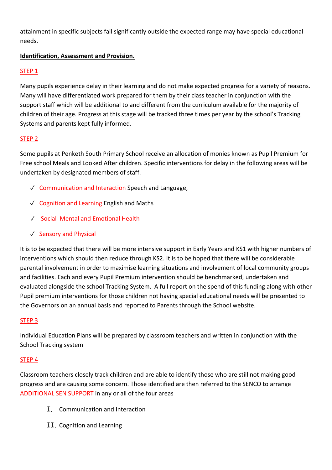attainment in specific subjects fall significantly outside the expected range may have special educational needs.

## **Identification, Assessment and Provision.**

#### STEP 1

Many pupils experience delay in their learning and do not make expected progress for a variety of reasons. Many will have differentiated work prepared for them by their class teacher in conjunction with the support staff which will be additional to and different from the curriculum available for the majority of children of their age. Progress at this stage will be tracked three times per year by the school's Tracking Systems and parents kept fully informed.

## STEP 2

Some pupils at Penketh South Primary School receive an allocation of monies known as Pupil Premium for Free school Meals and Looked After children. Specific interventions for delay in the following areas will be undertaken by designated members of staff.

- ✓ Communication and Interaction Speech and Language,
- ✓ Cognition and Learning English and Maths
- ✓ Social Mental and Emotional Health
- ✓ Sensory and Physical

It is to be expected that there will be more intensive support in Early Years and KS1 with higher numbers of interventions which should then reduce through KS2. It is to be hoped that there will be considerable parental involvement in order to maximise learning situations and involvement of local community groups and facilities. Each and every Pupil Premium intervention should be benchmarked, undertaken and evaluated alongside the school Tracking System. A full report on the spend of this funding along with other Pupil premium interventions for those children not having special educational needs will be presented to the Governors on an annual basis and reported to Parents through the School website.

#### STEP 3

Individual Education Plans will be prepared by classroom teachers and written in conjunction with the School Tracking system

#### STEP 4

Classroom teachers closely track children and are able to identify those who are still not making good progress and are causing some concern. Those identified are then referred to the SENCO to arrange ADDITIONAL SEN SUPPORT in any or all of the four areas

- I. Communication and Interaction
- II. Cognition and Learning